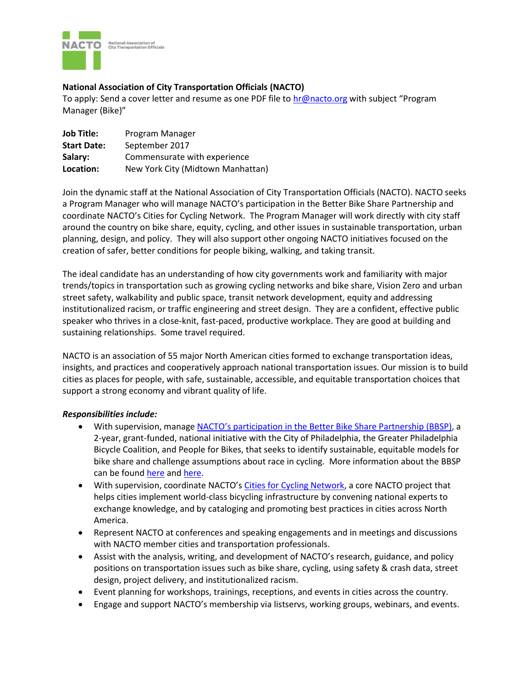

# **National Association of City Transportation Officials (NACTO)**

To apply: Send a cover letter and resume as one PDF file to [hr@nacto.org](mailto:nacto@nacto.org) with subject "Program Manager (Bike)"

| <b>Job Title:</b>  | Program Manager                   |
|--------------------|-----------------------------------|
| <b>Start Date:</b> | September 2017                    |
| Salary:            | Commensurate with experience      |
| Location:          | New York City (Midtown Manhattan) |

Join the dynamic staff at the National Association of City Transportation Officials (NACTO). NACTO seeks a Program Manager who will manage NACTO's participation in the Better Bike Share Partnership and coordinate NACTO's Cities for Cycling Network. The Program Manager will work directly with city staff around the country on bike share, equity, cycling, and other issues in sustainable transportation, urban planning, design, and policy. They will also support other ongoing NACTO initiatives focused on the creation of safer, better conditions for people biking, walking, and taking transit.

The ideal candidate has an understanding of how city governments work and familiarity with major trends/topics in transportation such as growing cycling networks and bike share, Vision Zero and urban street safety, walkability and public space, transit network development, equity and addressing institutionalized racism, or traffic engineering and street design. They are a confident, effective public speaker who thrives in a close-knit, fast-paced, productive workplace. They are good at building and sustaining relationships. Some travel required.

NACTO is an association of 55 major North American cities formed to exchange transportation ideas, insights, and practices and cooperatively approach national transportation issues. Our mission is to build cities as places for people, with safe, sustainable, accessible, and equitable transportation choices that support a strong economy and vibrant quality of life.

# *Responsibilities include:*

- With supervision, manage [NACTO's participation in the Better Bike Share Partnership](https://nacto.org/program/bike-share-initiative/) (BBSP), a 2-year, grant-funded, national initiative with the City of Philadelphia, the Greater Philadelphia Bicycle Coalition, and People for Bikes, that seeks to identify sustainable, equitable models for bike share and challenge assumptions about race in cycling. More information about the BBSP can be found [here](https://nacto.org/program/bike-share-initiative/) and [here.](http://betterbikeshare.org/)
- With supervision, coordinate NACTO's [Cities for Cycling Network,](https://nacto.org/program/cities-for-cycling/) a core NACTO project that helps cities implement world-class bicycling infrastructure by convening national experts to exchange knowledge, and by cataloging and promoting best practices in cities across North America.
- Represent NACTO at conferences and speaking engagements and in meetings and discussions with NACTO member cities and transportation professionals.
- Assist with the analysis, writing, and development of NACTO's research, guidance, and policy positions on transportation issues such as bike share, cycling, using safety & crash data, street design, project delivery, and institutionalized racism.
- Event planning for workshops, trainings, receptions, and events in cities across the country.
- Engage and support NACTO's membership via listservs, working groups, webinars, and events.